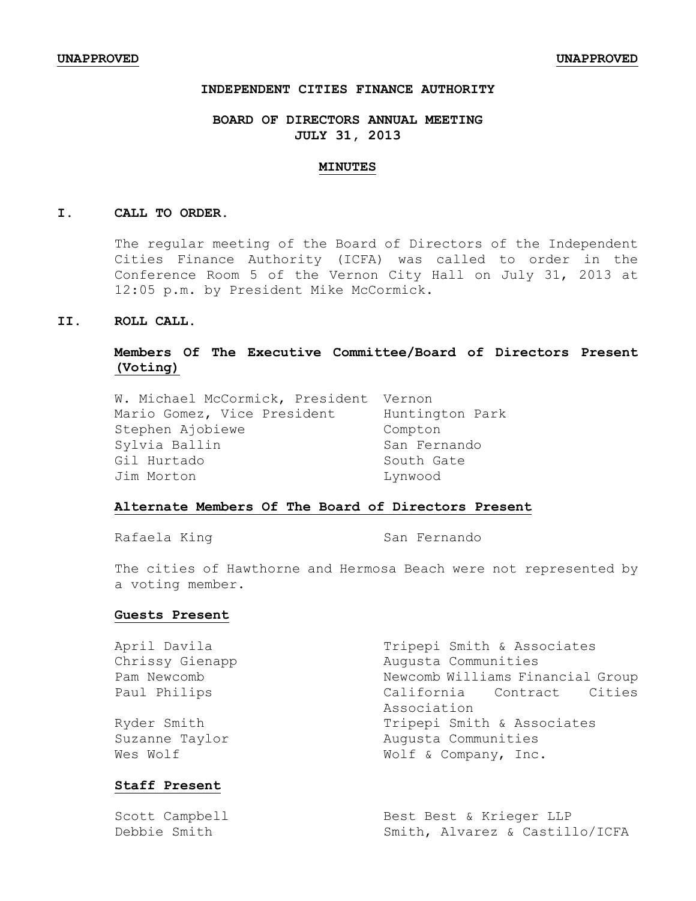### **INDEPENDENT CITIES FINANCE AUTHORITY**

### **BOARD OF DIRECTORS ANNUAL MEETING JULY 31, 2013**

#### **MINUTES**

#### **I. CALL TO ORDER.**

The regular meeting of the Board of Directors of the Independent Cities Finance Authority (ICFA) was called to order in the Conference Room 5 of the Vernon City Hall on July 31, 2013 at 12:05 p.m. by President Mike McCormick.

### **II. ROLL CALL.**

## **Members Of The Executive Committee/Board of Directors Present (Voting)**

W. Michael McCormick, President Vernon Mario Gomez, Vice President Huntington Park Stephen Ajobiewe Compton Sylvia Ballin Sylvia Ballin Gil Hurtado South Gate Jim Morton Lynwood

### **Alternate Members Of The Board of Directors Present**

Rafaela King San Fernando

The cities of Hawthorne and Hermosa Beach were not represented by a voting member.

#### **Guests Present**

| April Davila    | Tripepi Smith & Associates       |
|-----------------|----------------------------------|
| Chrissy Gienapp | Augusta Communities              |
| Pam Newcomb     | Newcomb Williams Financial Group |
| Paul Philips    | California Contract Cities       |
|                 | Association                      |
| Ryder Smith     | Tripepi Smith & Associates       |
| Suzanne Taylor  | Augusta Communities              |
| Wes Wolf        | Wolf & Company, Inc.             |
|                 |                                  |

## **Staff Present**

| Scott Campbell | Best Best & Krieger LLP        |
|----------------|--------------------------------|
| Debbie Smith   | Smith, Alvarez & Castillo/ICFA |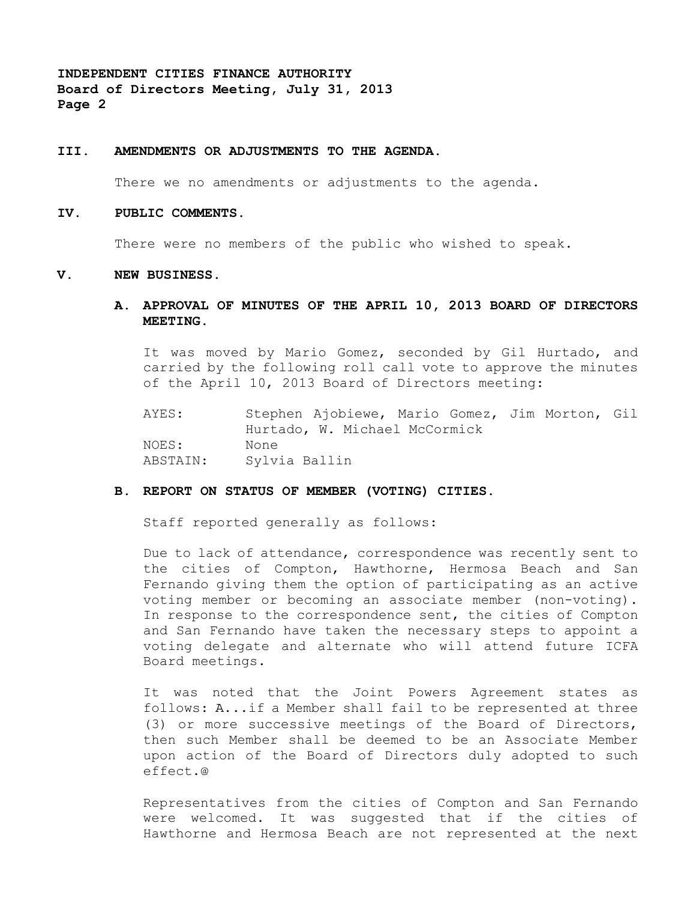**INDEPENDENT CITIES FINANCE AUTHORITY Board of Directors Meeting, July 31, 2013 Page 2**

#### **III. AMENDMENTS OR ADJUSTMENTS TO THE AGENDA.**

There we no amendments or adjustments to the agenda.

#### **IV. PUBLIC COMMENTS.**

There were no members of the public who wished to speak.

#### **V. NEW BUSINESS.**

**A. APPROVAL OF MINUTES OF THE APRIL 10, 2013 BOARD OF DIRECTORS MEETING.**

It was moved by Mario Gomez, seconded by Gil Hurtado, and carried by the following roll call vote to approve the minutes of the April 10, 2013 Board of Directors meeting:

AYES: Stephen Ajobiewe, Mario Gomez, Jim Morton, Gil Hurtado, W. Michael McCormick NOES: None ABSTAIN: Sylvia Ballin

#### **B. REPORT ON STATUS OF MEMBER (VOTING) CITIES.**

Staff reported generally as follows:

Due to lack of attendance, correspondence was recently sent to the cities of Compton, Hawthorne, Hermosa Beach and San Fernando giving them the option of participating as an active voting member or becoming an associate member (non-voting). In response to the correspondence sent, the cities of Compton and San Fernando have taken the necessary steps to appoint a voting delegate and alternate who will attend future ICFA Board meetings.

It was noted that the Joint Powers Agreement states as follows: A...if a Member shall fail to be represented at three (3) or more successive meetings of the Board of Directors, then such Member shall be deemed to be an Associate Member upon action of the Board of Directors duly adopted to such effect.@

Representatives from the cities of Compton and San Fernando were welcomed. It was suggested that if the cities of Hawthorne and Hermosa Beach are not represented at the next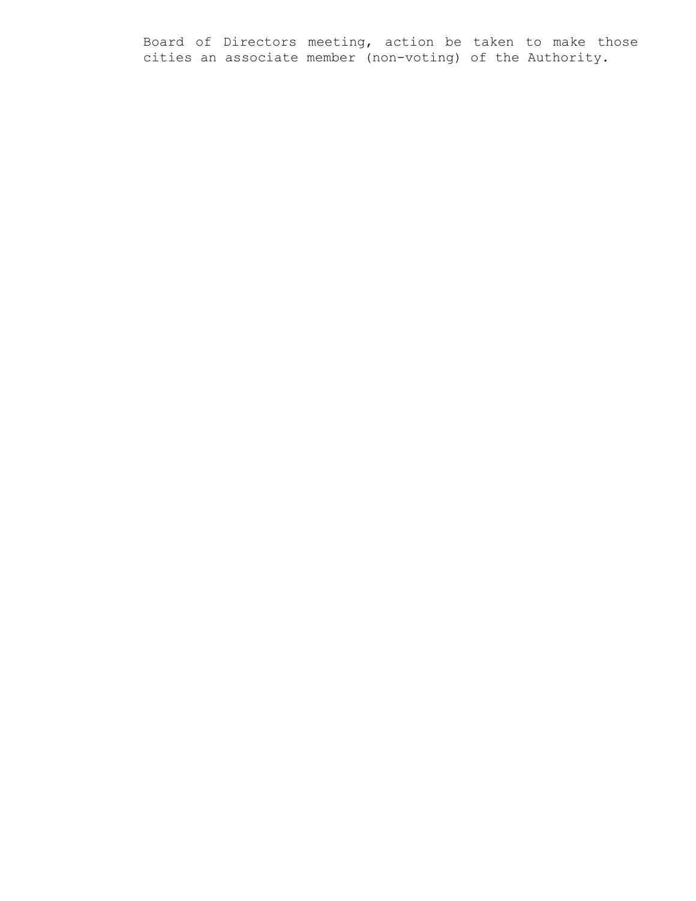Board of Directors meeting, action be taken to make those cities an associate member (non-voting) of the Authority.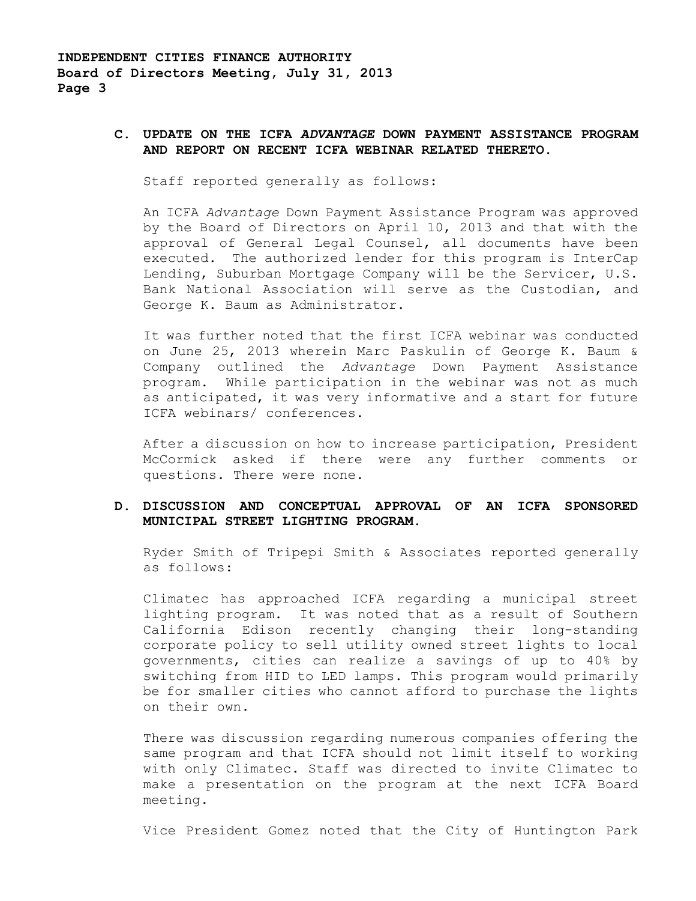### **C. UPDATE ON THE ICFA** *ADVANTAGE* **DOWN PAYMENT ASSISTANCE PROGRAM AND REPORT ON RECENT ICFA WEBINAR RELATED THERETO.**

Staff reported generally as follows:

An ICFA *Advantage* Down Payment Assistance Program was approved by the Board of Directors on April 10, 2013 and that with the approval of General Legal Counsel, all documents have been executed. The authorized lender for this program is InterCap Lending, Suburban Mortgage Company will be the Servicer, U.S. Bank National Association will serve as the Custodian, and George K. Baum as Administrator.

It was further noted that the first ICFA webinar was conducted on June 25, 2013 wherein Marc Paskulin of George K. Baum & Company outlined the *Advantage* Down Payment Assistance program. While participation in the webinar was not as much as anticipated, it was very informative and a start for future ICFA webinars/ conferences.

After a discussion on how to increase participation, President McCormick asked if there were any further comments or questions. There were none.

### **D. DISCUSSION AND CONCEPTUAL APPROVAL OF AN ICFA SPONSORED MUNICIPAL STREET LIGHTING PROGRAM**.

Ryder Smith of Tripepi Smith & Associates reported generally as follows:

Climatec has approached ICFA regarding a municipal street lighting program. It was noted that as a result of Southern California Edison recently changing their long-standing corporate policy to sell utility owned street lights to local governments, cities can realize a savings of up to 40% by switching from HID to LED lamps. This program would primarily be for smaller cities who cannot afford to purchase the lights on their own.

There was discussion regarding numerous companies offering the same program and that ICFA should not limit itself to working with only Climatec. Staff was directed to invite Climatec to make a presentation on the program at the next ICFA Board meeting.

Vice President Gomez noted that the City of Huntington Park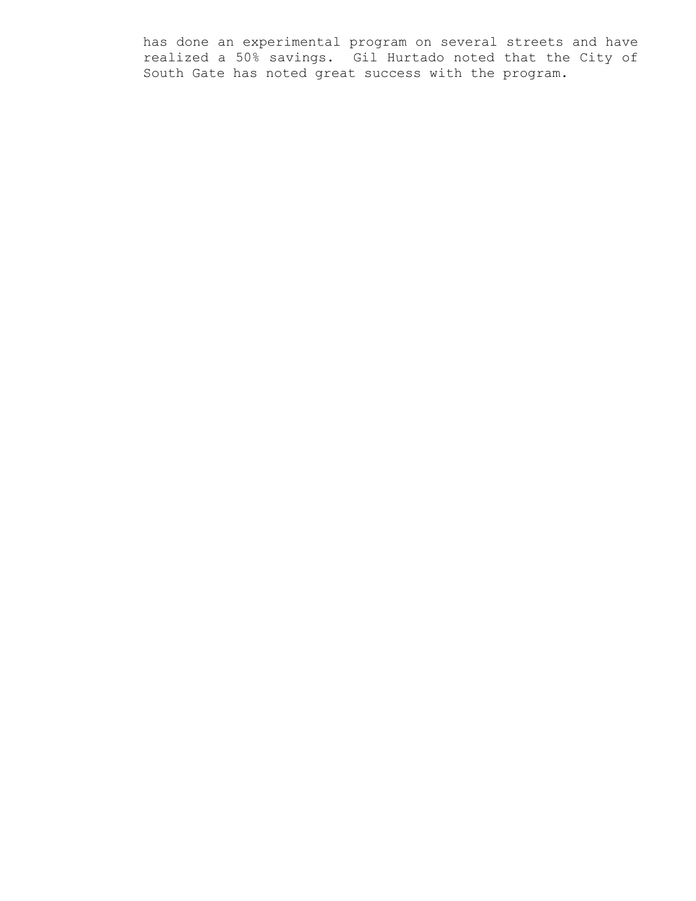has done an experimental program on several streets and have realized a 50% savings. Gil Hurtado noted that the City of South Gate has noted great success with the program.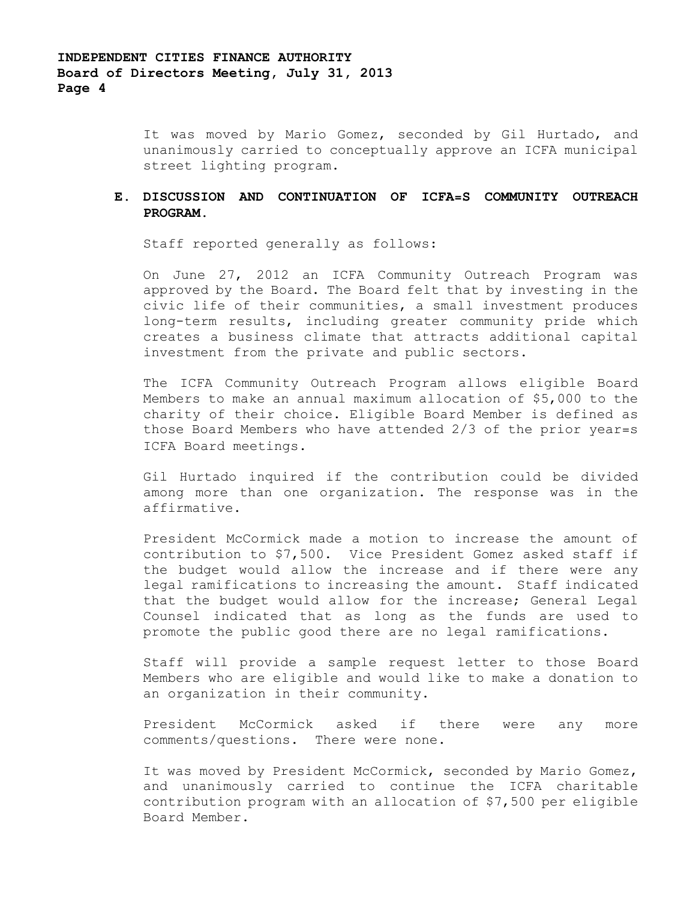It was moved by Mario Gomez, seconded by Gil Hurtado, and unanimously carried to conceptually approve an ICFA municipal street lighting program.

## **E. DISCUSSION AND CONTINUATION OF ICFA=S COMMUNITY OUTREACH PROGRAM.**

Staff reported generally as follows:

On June 27, 2012 an ICFA Community Outreach Program was approved by the Board. The Board felt that by investing in the civic life of their communities, a small investment produces long-term results, including greater community pride which creates a business climate that attracts additional capital investment from the private and public sectors.

The ICFA Community Outreach Program allows eligible Board Members to make an annual maximum allocation of \$5,000 to the charity of their choice. Eligible Board Member is defined as those Board Members who have attended 2/3 of the prior year=s ICFA Board meetings.

Gil Hurtado inquired if the contribution could be divided among more than one organization. The response was in the affirmative.

President McCormick made a motion to increase the amount of contribution to \$7,500. Vice President Gomez asked staff if the budget would allow the increase and if there were any legal ramifications to increasing the amount. Staff indicated that the budget would allow for the increase; General Legal Counsel indicated that as long as the funds are used to promote the public good there are no legal ramifications.

Staff will provide a sample request letter to those Board Members who are eligible and would like to make a donation to an organization in their community.

President McCormick asked if there were any more comments/questions. There were none.

It was moved by President McCormick, seconded by Mario Gomez, and unanimously carried to continue the ICFA charitable contribution program with an allocation of \$7,500 per eligible Board Member.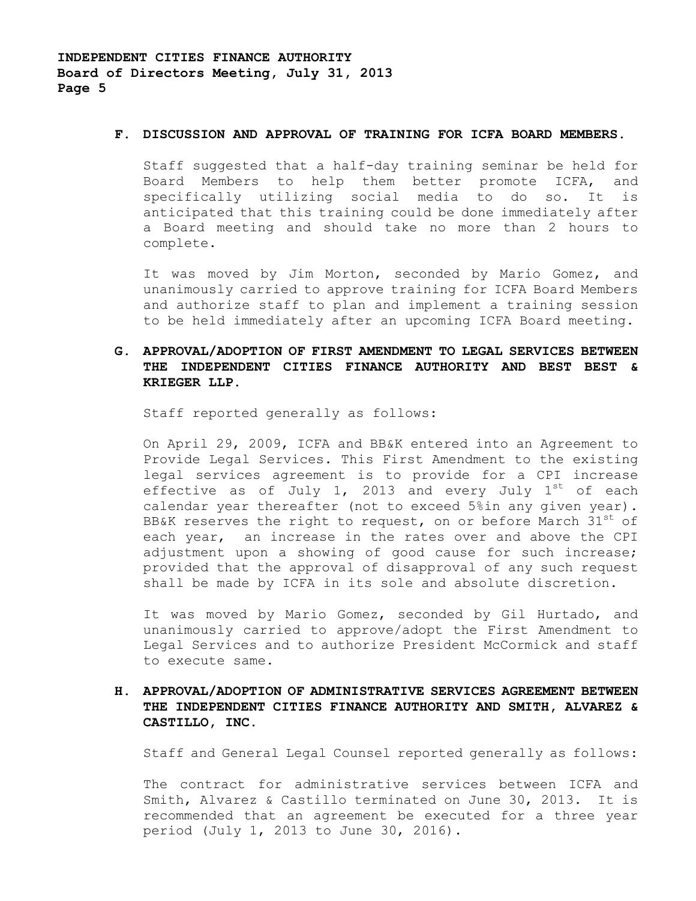#### **F. DISCUSSION AND APPROVAL OF TRAINING FOR ICFA BOARD MEMBERS.**

Staff suggested that a half-day training seminar be held for Board Members to help them better promote ICFA, and specifically utilizing social media to do so. It is anticipated that this training could be done immediately after a Board meeting and should take no more than 2 hours to complete.

It was moved by Jim Morton, seconded by Mario Gomez, and unanimously carried to approve training for ICFA Board Members and authorize staff to plan and implement a training session to be held immediately after an upcoming ICFA Board meeting.

## **G. APPROVAL/ADOPTION OF FIRST AMENDMENT TO LEGAL SERVICES BETWEEN THE INDEPENDENT CITIES FINANCE AUTHORITY AND BEST BEST & KRIEGER LLP.**

Staff reported generally as follows:

On April 29, 2009, ICFA and BB&K entered into an Agreement to Provide Legal Services. This First Amendment to the existing legal services agreement is to provide for a CPI increase effective as of July 1, 2013 and every July  $1^{st}$  of each calendar year thereafter (not to exceed 5%in any given year). BB&K reserves the right to request, on or before March  $31<sup>st</sup>$  of each year, an increase in the rates over and above the CPI adjustment upon a showing of good cause for such increase; provided that the approval of disapproval of any such request shall be made by ICFA in its sole and absolute discretion.

It was moved by Mario Gomez, seconded by Gil Hurtado, and unanimously carried to approve/adopt the First Amendment to Legal Services and to authorize President McCormick and staff to execute same.

## **H. APPROVAL/ADOPTION OF ADMINISTRATIVE SERVICES AGREEMENT BETWEEN THE INDEPENDENT CITIES FINANCE AUTHORITY AND SMITH, ALVAREZ & CASTILLO, INC.**

Staff and General Legal Counsel reported generally as follows:

The contract for administrative services between ICFA and Smith, Alvarez & Castillo terminated on June 30, 2013. It is recommended that an agreement be executed for a three year period (July 1, 2013 to June 30, 2016).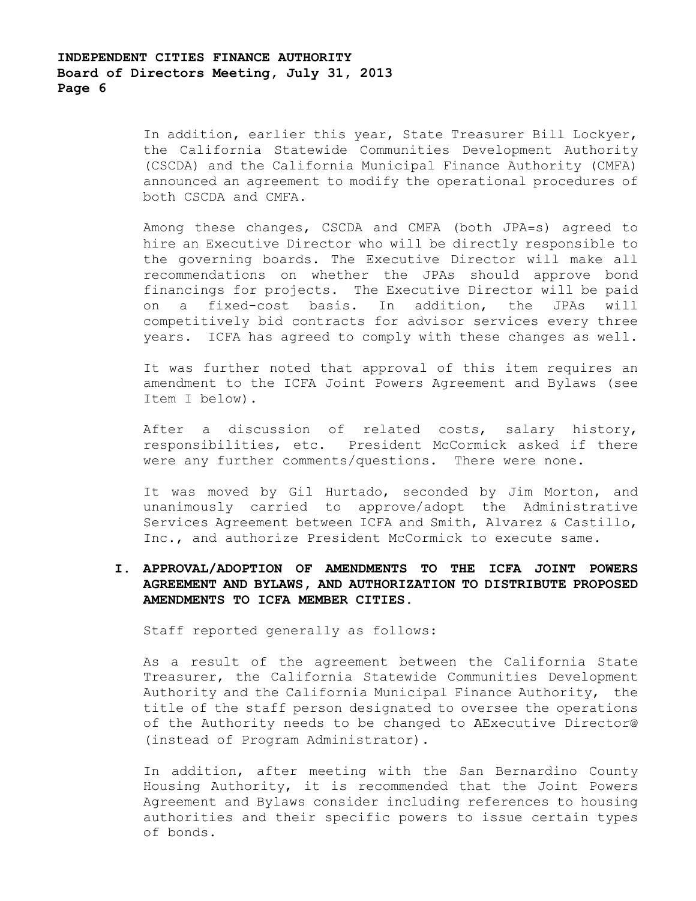In addition, earlier this year, State Treasurer Bill Lockyer, the California Statewide Communities Development Authority (CSCDA) and the California Municipal Finance Authority (CMFA) announced an agreement to modify the operational procedures of both CSCDA and CMFA.

Among these changes, CSCDA and CMFA (both JPA=s) agreed to hire an Executive Director who will be directly responsible to the governing boards. The Executive Director will make all recommendations on whether the JPAs should approve bond financings for projects. The Executive Director will be paid on a fixed-cost basis. In addition, the JPAs will competitively bid contracts for advisor services every three years. ICFA has agreed to comply with these changes as well.

It was further noted that approval of this item requires an amendment to the ICFA Joint Powers Agreement and Bylaws (see Item I below).

After a discussion of related costs, salary history, responsibilities, etc. President McCormick asked if there were any further comments/questions. There were none.

It was moved by Gil Hurtado, seconded by Jim Morton, and unanimously carried to approve/adopt the Administrative Services Agreement between ICFA and Smith, Alvarez & Castillo, Inc., and authorize President McCormick to execute same.

## **I. APPROVAL/ADOPTION OF AMENDMENTS TO THE ICFA JOINT POWERS AGREEMENT AND BYLAWS, AND AUTHORIZATION TO DISTRIBUTE PROPOSED AMENDMENTS TO ICFA MEMBER CITIES.**

Staff reported generally as follows:

As a result of the agreement between the California State Treasurer, the California Statewide Communities Development Authority and the California Municipal Finance Authority, the title of the staff person designated to oversee the operations of the Authority needs to be changed to AExecutive Director@ (instead of Program Administrator).

In addition, after meeting with the San Bernardino County Housing Authority, it is recommended that the Joint Powers Agreement and Bylaws consider including references to housing authorities and their specific powers to issue certain types of bonds.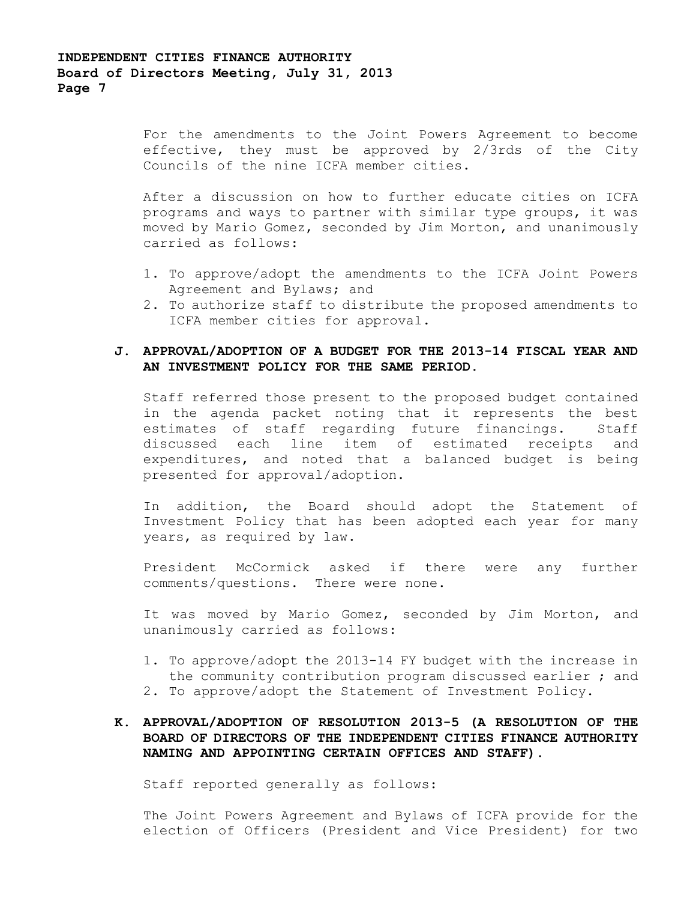For the amendments to the Joint Powers Agreement to become effective, they must be approved by 2/3rds of the City Councils of the nine ICFA member cities.

After a discussion on how to further educate cities on ICFA programs and ways to partner with similar type groups, it was moved by Mario Gomez, seconded by Jim Morton, and unanimously carried as follows:

- 1. To approve/adopt the amendments to the ICFA Joint Powers Agreement and Bylaws; and
- 2. To authorize staff to distribute the proposed amendments to ICFA member cities for approval.

## **J. APPROVAL/ADOPTION OF A BUDGET FOR THE 2013-14 FISCAL YEAR AND AN INVESTMENT POLICY FOR THE SAME PERIOD.**

Staff referred those present to the proposed budget contained in the agenda packet noting that it represents the best estimates of staff regarding future financings. Staff discussed each line item of estimated receipts and expenditures, and noted that a balanced budget is being presented for approval/adoption.

In addition, the Board should adopt the Statement of Investment Policy that has been adopted each year for many years, as required by law.

President McCormick asked if there were any further comments/questions. There were none.

It was moved by Mario Gomez, seconded by Jim Morton, and unanimously carried as follows:

- 1. To approve/adopt the 2013-14 FY budget with the increase in the community contribution program discussed earlier ; and
- 2. To approve/adopt the Statement of Investment Policy.

## **K. APPROVAL/ADOPTION OF RESOLUTION 2013-5 (A RESOLUTION OF THE BOARD OF DIRECTORS OF THE INDEPENDENT CITIES FINANCE AUTHORITY NAMING AND APPOINTING CERTAIN OFFICES AND STAFF).**

Staff reported generally as follows:

The Joint Powers Agreement and Bylaws of ICFA provide for the election of Officers (President and Vice President) for two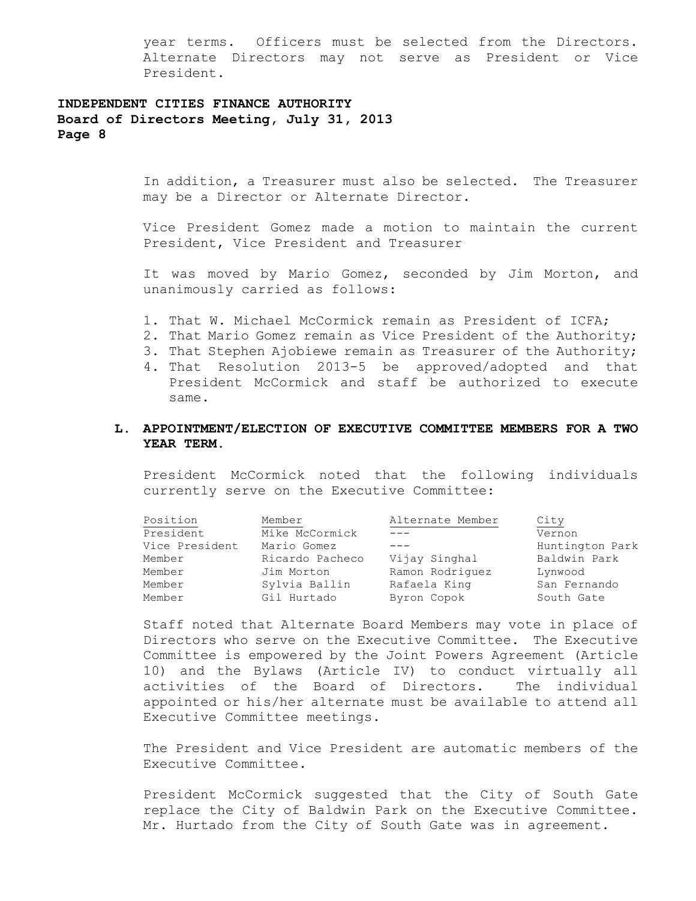year terms. Officers must be selected from the Directors. Alternate Directors may not serve as President or Vice President.

## **INDEPENDENT CITIES FINANCE AUTHORITY Board of Directors Meeting, July 31, 2013 Page 8**

In addition, a Treasurer must also be selected. The Treasurer may be a Director or Alternate Director.

Vice President Gomez made a motion to maintain the current President, Vice President and Treasurer

It was moved by Mario Gomez, seconded by Jim Morton, and unanimously carried as follows:

- 1. That W. Michael McCormick remain as President of ICFA;
- 2. That Mario Gomez remain as Vice President of the Authority;
- 3. That Stephen Ajobiewe remain as Treasurer of the Authority;
- 4. That Resolution 2013-5 be approved/adopted and that President McCormick and staff be authorized to execute same.

### **L. APPOINTMENT/ELECTION OF EXECUTIVE COMMITTEE MEMBERS FOR A TWO YEAR TERM.**

President McCormick noted that the following individuals currently serve on the Executive Committee:

| Position       | Member          | Alternate Member | City            |
|----------------|-----------------|------------------|-----------------|
| President      | Mike McCormick  |                  | Vernon          |
| Vice President | Mario Gomez     |                  | Huntington Park |
| Member         | Ricardo Pacheco | Vijay Singhal    | Baldwin Park    |
| Member         | Jim Morton      | Ramon Rodriquez  | Lynwood         |
| Member         | Sylvia Ballin   | Rafaela King     | San Fernando    |
| Member         | Gil Hurtado     | Byron Copok      | South Gate      |

Staff noted that Alternate Board Members may vote in place of Directors who serve on the Executive Committee. The Executive Committee is empowered by the Joint Powers Agreement (Article 10) and the Bylaws (Article IV) to conduct virtually all activities of the Board of Directors. The individual appointed or his/her alternate must be available to attend all Executive Committee meetings.

The President and Vice President are automatic members of the Executive Committee.

President McCormick suggested that the City of South Gate replace the City of Baldwin Park on the Executive Committee. Mr. Hurtado from the City of South Gate was in agreement.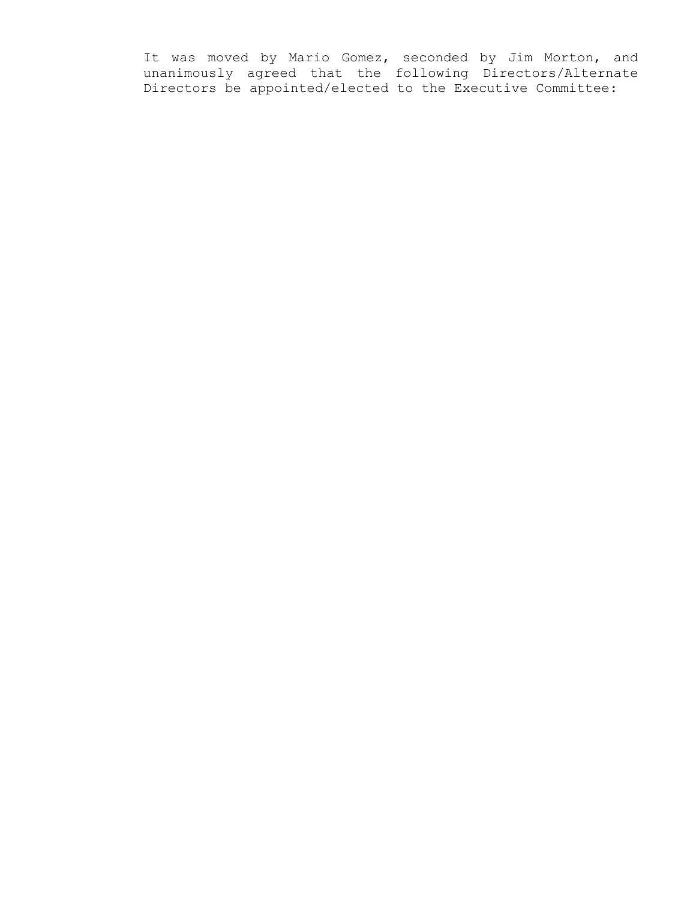It was moved by Mario Gomez, seconded by Jim Morton, and unanimously agreed that the following Directors/Alternate Directors be appointed/elected to the Executive Committee: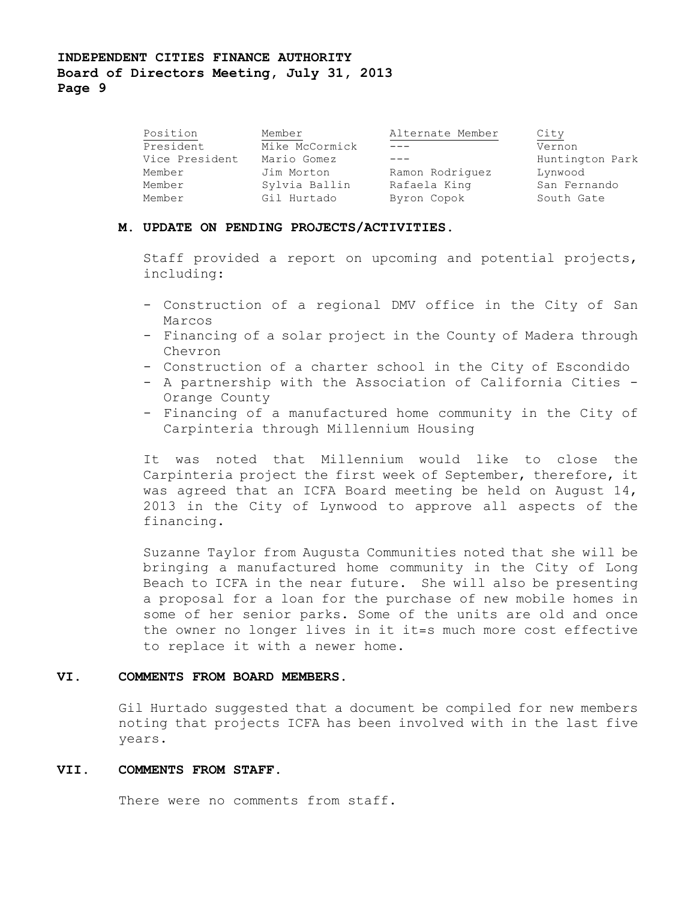# **INDEPENDENT CITIES FINANCE AUTHORITY Board of Directors Meeting, July 31, 2013 Page 9**

| Position       | Member         | Alternate Member | City            |
|----------------|----------------|------------------|-----------------|
| President      | Mike McCormick |                  | Vernon          |
| Vice President | Mario Gomez    |                  | Huntington Park |
| Member         | Jim Morton     | Ramon Rodriguez  | Lynwood         |
| Member         | Sylvia Ballin  | Rafaela King     | San Fernando    |
| Member         | Gil Hurtado    | Byron Copok      | South Gate      |

### **M. UPDATE ON PENDING PROJECTS/ACTIVITIES.**

Staff provided a report on upcoming and potential projects, including:

- Construction of a regional DMV office in the City of San Marcos
- Financing of a solar project in the County of Madera through Chevron
- Construction of a charter school in the City of Escondido
- A partnership with the Association of California Cities Orange County
- Financing of a manufactured home community in the City of Carpinteria through Millennium Housing

It was noted that Millennium would like to close the Carpinteria project the first week of September, therefore, it was agreed that an ICFA Board meeting be held on August 14, 2013 in the City of Lynwood to approve all aspects of the financing.

Suzanne Taylor from Augusta Communities noted that she will be bringing a manufactured home community in the City of Long Beach to ICFA in the near future. She will also be presenting a proposal for a loan for the purchase of new mobile homes in some of her senior parks. Some of the units are old and once the owner no longer lives in it it=s much more cost effective to replace it with a newer home.

### **VI. COMMENTS FROM BOARD MEMBERS.**

Gil Hurtado suggested that a document be compiled for new members noting that projects ICFA has been involved with in the last five years.

### **VII. COMMENTS FROM STAFF.**

There were no comments from staff.